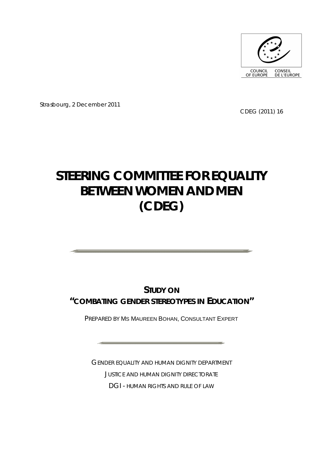

Strasbourg, 2 December 2011

CDEG (2011) 16

# **STEERING COMMITTEE FOR EQUALITY BETWEEN WOMEN AND MEN (CDEG)**

**STUDY ON "COMBATING GENDER STEREOTYPES IN EDUCATION"**

PREPARED BY MS MAUREEN BOHAN, CONSULTANT EXPERT

GENDER EQUALITY AND HUMAN DIGNITY DEPARTMENT JUSTICE AND HUMAN DIGNITY DIRECTORATE DGI - HUMAN RIGHTS AND RULE OF LAW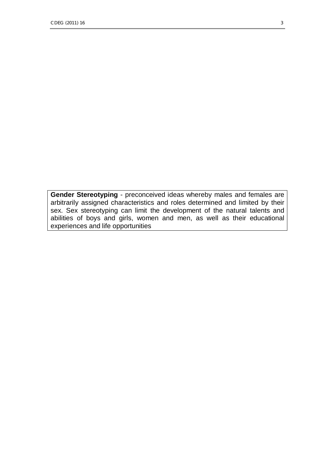**Gender Stereotyping** - preconceived ideas whereby males and females are arbitrarily assigned characteristics and roles determined and limited by their sex. Sex stereotyping can limit the development of the natural talents and abilities of boys and girls, women and men, as well as their educational experiences and life opportunities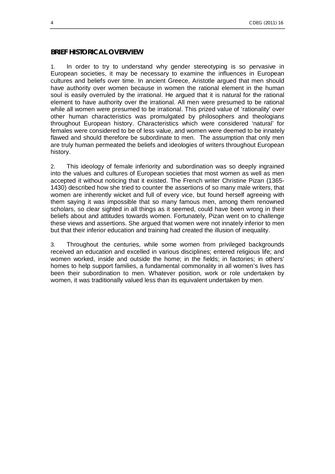#### **BRIEF HISTORICAL OVERVIEW**

1. In order to try to understand why gender stereotyping is so pervasive in European societies, it may be necessary to examine the influences in European cultures and beliefs over time. In ancient Greece, Aristotle argued that men should have authority over women because in women the rational element in the human soul is easily overruled by the irrational. He argued that it is natural for the rational element to have authority over the irrational. All men were presumed to be rational while all women were presumed to be irrational. This prized value of 'rationality' over other human characteristics was promulgated by philosophers and theologians throughout European history. Characteristics which were considered 'natural' for females were considered to be of less value, and women were deemed to be innately flawed and should therefore be subordinate to men. The assumption that only men are truly human permeated the beliefs and ideologies of writers throughout European history.

2. This ideology of female inferiority and subordination was so deeply ingrained into the values and cultures of European societies that most women as well as men accepted it without noticing that it existed. The French writer Christine Pizan (1365- 1430) described how she tried to counter the assertions of so many male writers, that women are inherently wicket and full of every vice, but found herself agreeing with them saying it was impossible that so many famous men, among them renowned scholars, so clear sighted in all things as it seemed, could have been wrong in their beliefs about and attitudes towards women. Fortunately, Pizan went on to challenge these views and assertions. She argued that women were not innately inferior to men but that their inferior education and training had created the illusion of inequality.

3. Throughout the centuries, while some women from privileged backgrounds received an education and excelled in various disciplines; entered religious life; and women worked, inside and outside the home; in the fields; in factories; in others' homes to help support families, a fundamental commonality in all women's lives has been their subordination to men. Whatever position, work or role undertaken by women, it was traditionally valued less than its equivalent undertaken by men.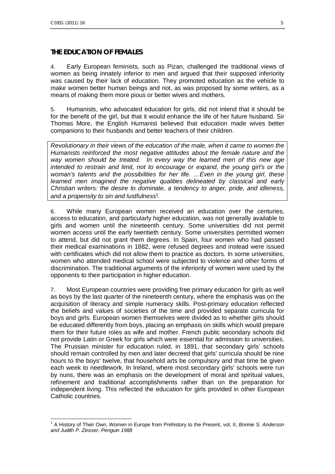## **THE EDUCATION OF FEMALES**

4. Early European feminists, such as Pizan, challenged the traditional views of women as being innately inferior to men and argued that their supposed inferiority was caused by their lack of education. They promoted education as the vehicle to make women better human beings and not, as was proposed by some writers, as a means of making them more pious or better wives and mothers.

5. Humanists, who advocated education for girls, did not intend that it should be for the benefit of the girl, but that it would enhance the life of her future husband. Sir Thomas More, the English Humanist believed that education made wives better companions to their husbands and better teachers of their children.

*Revolutionary in their views of the education of the male, when it came to women the Humanists reinforced the most negative attitudes about the female nature and the way women should be treated. In every way the learned men of this new age intended to restrain and limit, not to encourage or expand, the young girl's or the woman's talents and the possibilities for her life. …Even in the young girl, these*  learned men imagined the negative qualities delineated by classical and early *Christian writers: the desire to dominate, a tendency to anger, pride, and idleness, and a propensity to sin and lustfulness[1](#page-4-0) .* 

6. While many European women received an education over the centuries, access to education, and particularly higher education, was not generally available to girls and women until the nineteenth century. Some universities did not permit women access until the early twentieth century. Some universities permitted women to attend, but did not grant them degrees. In Spain, four women who had passed their medical examinations in 1882, were refused degrees and instead were issued with certificates which did not allow them to practice as doctors. In some universities, women who attended medical school were subjected to violence and other forms of discrimination. The traditional arguments of the inferiority of women were used by the opponents to their participation in higher education.

7. Most European countries were providing free primary education for girls as well as boys by the last quarter of the nineteenth century, where the emphasis was on the acquisition of literacy and simple numeracy skills. Post-primary education reflected the beliefs and values of societies of the time and provided separate curricula for boys and girls. European women themselves were divided as to whether girls should be educated differently from boys, placing an emphasis on skills which would prepare them for their future roles as wife and mother. French public secondary schools did not provide Latin or Greek for girls which were essential for admission to universities. The Prussian minister for education ruled, in 1891, that secondary girls' schools should remain controlled by men and later decreed that girls' curricula should be nine hours to the boys' twelve, that household arts be compulsory and that time be given each week to needlework. In Ireland, where most secondary girls' schools were run by nuns, there was an emphasis on the development of moral and spiritual values, refinement and traditional accomplishments rather than on the preparation for independent living. This reflected the education for girls provided in other European Catholic countries.

<span id="page-4-0"></span> $\overline{a}$ <sup>1</sup> A History of Their Own, Women in Europe from Prehistory to the Present, vol. II, *Bonnie S. Anderson and Judith P. Zinsser, Penguin 1988*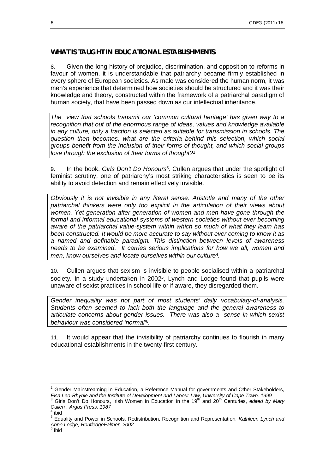#### **WHAT IS TAUGHT IN EDUCATIONAL ESTABLISHMENTS**

8. Given the long history of prejudice, discrimination, and opposition to reforms in favour of women, it is understandable that patriarchy became firmly established in every sphere of European societies. As male was considered the human norm, it was men's experience that determined how societies should be structured and it was their knowledge and theory, constructed within the framework of a patriarchal paradigm of human society, that have been passed down as our intellectual inheritance.

*The view that schools transmit our 'common cultural heritage' has given way to a recognition that out of the enormous range of ideas, values and knowledge available in any culture, only a fraction is selected as suitable for transmission in schools. The question then becomes: what are the criteria behind this selection, which social groups benefit from the inclusion of their forms of thought, and which social groups lose through the exclusion of their forms of thought?[2](#page-5-0)*

9. In the book, Girls Don't Do Honours<sup>[3](#page-5-1)</sup>, Cullen argues that under the spotlight of feminist scrutiny, one of patriarchy's most striking characteristics is seen to be its ability to avoid detection and remain effectively invisible.

*Obviously it is not invisible in any literal sense. Aristotle and many of the other patriarchal thinkers were only too explicit in the articulation of their views about women. Yet generation after generation of women and men have gone through the formal and informal educational systems of western societies without ever becoming aware of the patriarchal value-system within which so much of what they learn has been constructed. It would be more accurate to say without ever coming to know it as a named and definable paradigm. This distinction between levels of awareness needs to be examined. It carries serious implications for how we all, women and men, know ourselves and locate ourselves within our culture[4](#page-5-2) .* 

10. Cullen argues that sexism is invisible to people socialised within a patriarchal society. In a study undertaken in 2002<sup>[5](#page-5-3)</sup>, Lynch and Lodge found that pupils were unaware of sexist practices in school life or if aware, they disregarded them.

*Gender inequality was not part of most students' daily vocabulary-of-analysis. Students often seemed to lack both the language and the general awareness to articulate concerns about gender issues. There was also a sense in which sexist behaviour was considered 'normal'[6](#page-5-4) .*

11. It would appear that the invisibility of patriarchy continues to flourish in many educational establishments in the twenty-first century.

<span id="page-5-0"></span> 2 Gender Mainstreaming in Education, a Reference Manual for governments and Other Stakeholders,

<span id="page-5-1"></span>*Elsa Leo-Rhynie and the Institute of Development and Labour Law, University of Cape Town, 1999*<br><sup>3</sup> Girls Don't Do Honours, Irish Women in Education in the 19<sup>th</sup> and 20<sup>th</sup> Centuries, *edited by Mary Cullen* , *Argus Press, 1987* 4 ibid

<span id="page-5-2"></span>

<span id="page-5-3"></span><sup>5</sup> Equality and Power in Schools, Redistribution, Recognition and Representation, *Kathleen Lynch and Anne Lodge, RoutledgeFalmer, 2002* 

<span id="page-5-4"></span><sup>6</sup> ibid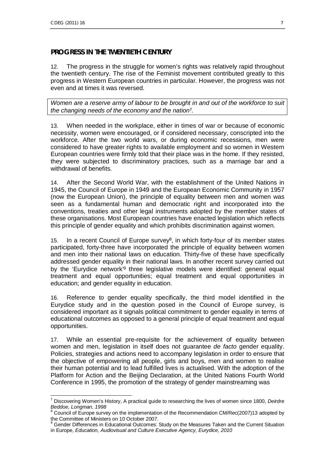1

## **PROGRESS IN THE TWENTIETH CENTURY**

12. The progress in the struggle for women's rights was relatively rapid throughout the twentieth century. The rise of the Feminist movement contributed greatly to this progress in Western European countries in particular. However, the progress was not even and at times it was reversed.

*Women are a reserve army of labour to be brought in and out of the workforce to suit the changing needs of the economy and the nation[7](#page-6-0) .* 

13. When needed in the workplace, either in times of war or because of economic necessity, women were encouraged, or if considered necessary, conscripted into the workforce. After the two world wars, or during economic recessions, men were considered to have greater rights to available employment and so women in Western European countries were firmly told that their place was in the home. If they resisted, they were subjected to discriminatory practices, such as a marriage bar and a withdrawal of benefits.

14. After the Second World War, with the establishment of the United Nations in 1945, the Council of Europe in 1949 and the European Economic Community in 1957 (now the European Union), the principle of equality between men and women was seen as a fundamental human and democratic right and incorporated into the conventions, treaties and other legal instruments adopted by the member states of these organisations. Most European countries have enacted legislation which reflects this principle of gender equality and which prohibits discrimination against women.

15. In a recent Council of Europe survey<sup>[8](#page-6-1)</sup>, in which forty-four of its member states participated, forty-three have incorporated the principle of equality between women and men into their national laws on education. Thirty-five of these have specifically addressed gender equality in their national laws. In another recent survey carried out by the 'Eurydice network<sup>'[9](#page-6-2)</sup> three legislative models were identified: general equal treatment and equal opportunities; equal treatment and equal opportunities in education; and gender equality in education.

16. Reference to gender equality specifically, the third model identified in the Eurydice study and in the question posed in the Council of Europe survey, is considered important as it signals political commitment to gender equality in terms of educational outcomes as opposed to a general principle of equal treatment and equal opportunities.

17. While an essential pre-requisite for the achievement of equality between women and men, legislation in itself does not guarantee *de facto* gender equality. Policies, strategies and actions need to accompany legislation in order to ensure that the objective of empowering all people, girls and boys, men and women to realise their human potential and to lead fulfilled lives is actualised. With the adoption of the Platform for Action and the Beijing Declaration, at the United Nations Fourth World Conference in 1995, the promotion of the strategy of gender mainstreaming was

<span id="page-6-0"></span><sup>7</sup> Discovering Women's History, A practical guide to researching the lives of women since 1800, *Deirdre Beddoe, Longman, 1998*  8 Council of Europe survey on the implementation of the Recommendation CM/Rec(2007)13 adopted by

<span id="page-6-1"></span>the Committee of Ministers on 10 October 2007.<br><sup>9</sup> Cander Differences in Educational Outcomeau

<span id="page-6-2"></span>Gender Differences in Educational Outcomes: Study on the Measures Taken and the Current Situation in Europe, *Education, Audiovisual and Culture Executive Agency, Eurydice, 2010*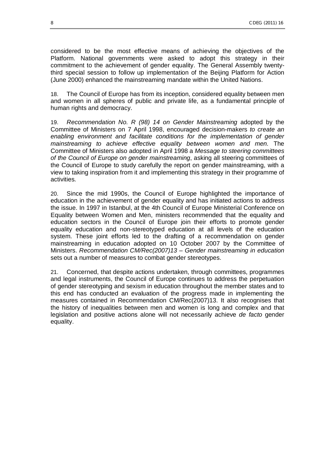considered to be the most effective means of achieving the objectives of the Platform. National governments were asked to adopt this strategy in their commitment to the achievement of gender equality. The General Assembly twentythird special session to follow up implementation of the Beijing Platform for Action (June 2000) enhanced the mainstreaming mandate within the United Nations.

18. The Council of Europe has from its inception, considered equality between men and women in all spheres of public and private life, as a fundamental principle of human rights and democracy.

19. *Recommendation No. R (98) 14 on Gender Mainstreaming* adopted by the Committee of Ministers on 7 April 1998, encouraged decision-makers *to create an enabling environment and facilitate conditions for the implementation of gender mainstreaming to achieve effective equality between women and men.* The Committee of Ministers also adopted in April 1998 a *Message to steering committees of the Council of Europe on gender mainstreaming*, asking all steering committees of the Council of Europe to study carefully the report on gender mainstreaming, with a view to taking inspiration from it and implementing this strategy in their programme of activities.

20. Since the mid 1990s, the Council of Europe highlighted the importance of education in the achievement of gender equality and has initiated actions to address the issue. In 1997 in Istanbul, at the 4th Council of Europe Ministerial Conference on Equality between Women and Men, ministers recommended that the equality and education sectors in the Council of Europe join their efforts to promote gender equality education and non-stereotyped education at all levels of the education system. These joint efforts led to the drafting of a recommendation on gender mainstreaming in education adopted on 10 October 2007 by the Committee of Ministers. *Recommendation CM/Rec(2007)13 – Gender mainstreaming in education*  sets out a number of measures to combat gender stereotypes.

21. Concerned, that despite actions undertaken, through committees, programmes and legal instruments, the Council of Europe continues to address the perpetuation of gender stereotyping and sexism in education throughout the member states and to this end has conducted an evaluation of the progress made in implementing the measures contained in Recommendation CM/Rec(2007)13. It also recognises that the history of inequalities between men and women is long and complex and that legislation and positive actions alone will not necessarily achieve *de facto* gender equality.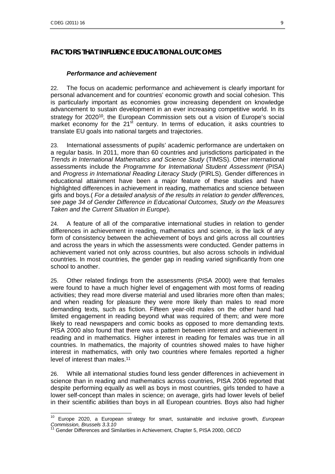1

## **FACTORS THAT INFLUENCE EDUCATIONAL OUTCOMES**

#### *Performance and achievement*

22. The focus on academic performance and achievement is clearly important for personal advancement and for countries' economic growth and social cohesion. This is particularly important as economies grow increasing dependent on knowledge advancement to sustain development in an ever increasing competitive world. In its strategy for 2020<sup>[10](#page-8-0)</sup>, the European Commission sets out a vision of Europe's social market economy for the  $21<sup>st</sup>$  century. In terms of education, it asks countries to translate EU goals into national targets and trajectories.

23. International assessments of pupils' academic performance are undertaken on a regular basis. In 2011, more than 60 countries and jurisdictions participated in the *Trends in International Mathematics and Science Study* (TIMSS). Other international assessments include the *Programme for International Student Assessment* (PISA) and *Progress in International Reading Literacy Study* (PIRLS). Gender differences in educational attainment have been a major feature of these studies and have highlighted differences in achievement in reading, mathematics and science between girls and boys.( *For a detailed analysis of the results in relation to gender differences, see page 34 of Gender Difference in Educational Outcomes, Study on the Measures Taken and the Current Situation in Europe*).

24. A feature of all of the comparative international studies in relation to gender differences in achievement in reading, mathematics and science, is the lack of any form of consistency between the achievement of boys and girls across all countries and across the years in which the assessments were conducted. Gender patterns in achievement varied not only across countries, but also across schools in individual countries. In most countries, the gender gap in reading varied significantly from one school to another.

25. Other related findings from the assessments (PISA 2000) were that females were found to have a much higher level of engagement with most forms of reading activities; they read more diverse material and used libraries more often than males; and when reading for pleasure they were more likely than males to read more demanding texts, such as fiction. Fifteen year-old males on the other hand had limited engagement in reading beyond what was required of them; and were more likely to read newspapers and comic books as opposed to more demanding texts. PISA 2000 also found that there was a pattern between interest and achievement in reading and in mathematics. Higher interest in reading for females was true in all countries. In mathematics, the majority of countries showed males to have higher interest in mathematics, with only two countries where females reported a higher level of interest than males.<sup>[11](#page-8-1)</sup>

26. While all international studies found less gender differences in achievement in science than in reading and mathematics across countries, PISA 2006 reported that despite performing equally as well as boys in most countries, girls tended to have a lower self-concept than males in science; on average, girls had lower levels of belief in their scientific abilities than boys in all European countries. Boys also had higher

<span id="page-8-0"></span><sup>10</sup> Europe 2020, a European strategy for smart, sustainable and inclusive growth, *European Commission, Brussels 3.3.10* 

<span id="page-8-1"></span><sup>11</sup> Gender Differences and Similarities in Achievement, Chapter 5, PISA 2000, *OECD*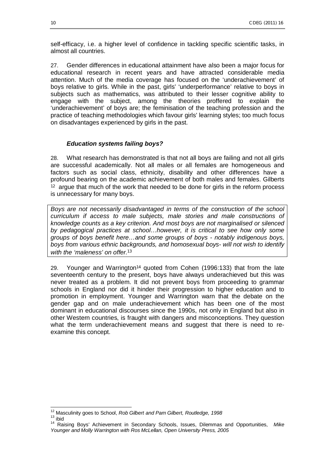self-efficacy, i.e. a higher level of confidence in tackling specific scientific tasks, in almost all countries.

27. Gender differences in educational attainment have also been a major focus for educational research in recent years and have attracted considerable media attention. Much of the media coverage has focused on the 'underachievement' of boys relative to girls. While in the past, girls' 'underperformance' relative to boys in subjects such as mathematics, was attributed to their lesser cognitive ability to engage with the subject, among the theories proffered to explain the 'underachievement' of boys are; the feminisation of the teaching profession and the practice of teaching methodologies which favour girls' learning styles; too much focus on disadvantages experienced by girls in the past.

#### *Education systems failing boys?*

28. What research has demonstrated is that not all boys are failing and not all girls are successful academically. Not all males or all females are homogeneous and factors such as social class, ethnicity, disability and other differences have a profound bearing on the academic achievement of both males and females. Gilberts  $12$  argue that much of the work that needed to be done for girls in the reform process is unnecessary for many boys.

*Boys are not necessarily disadvantaged in terms of the construction of the school curriculum if access to male subjects, male stories and male constructions of knowledge counts as a key criterion. And most boys are not marginalised or silenced by pedagogical practices at school…however, it is critical to see how only some groups of boys benefit here…and some groups of boys - notably indigenous boys, boys from various ethnic backgrounds, and homosexual boys- will not wish to identify with the 'maleness' on offer.[13](#page-9-1)*

29. Younger and Warrington<sup>[14](#page-9-2)</sup> quoted from Cohen (1996:133) that from the late seventeenth century to the present, boys have always underachieved but this was never treated as a problem. It did not prevent boys from proceeding to grammar schools in England nor did it hinder their progression to higher education and to promotion in employment. Younger and Warrington warn that the debate on the gender gap and on male underachievement which has been one of the most dominant in educational discourses since the 1990s, not only in England but also in other Western countries, is fraught with dangers and misconceptions. They question what the term underachievement means and suggest that there is need to reexamine this concept.

 $\overline{a}$ <sup>12</sup> Masculinity goes to School, *Rob Gilbert and Pam Gilbert, Routledge, 1998* 

<span id="page-9-1"></span><span id="page-9-0"></span> $13$  ibid

<span id="page-9-2"></span><sup>14</sup> Raising Boys' Achievement in Secondary Schools, Issues, Dilemmas and Opportunities, *Mike Younger and Molly Warrington with Ros McLellan, Open University Press, 2005*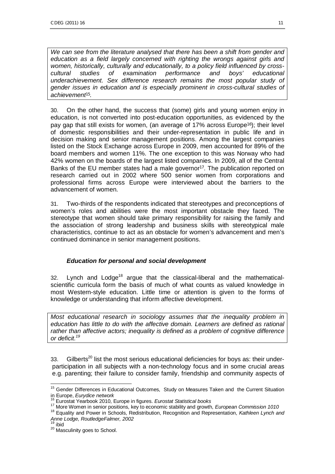We can see from the literature analysed that there has been a shift from gender and *education as a field largely concerned with righting the wrongs against girls and women, historically, culturally and educationally, to a policy field influenced by crosscultural studies of examination performance and boys' educational underachievement. Sex difference research remains the most popular study of gender issues in education and is especially prominent in cross-cultural studies of achievement[15](#page-10-0) .* 

30. On the other hand, the success that (some) girls and young women enjoy in education, is not converted into post-education opportunities, as evidenced by the pay gap that still exists for women, (an average of 17% across Europe[16](#page-10-1)); their level of domestic responsibilities and their under-representation in public life and in decision making and senior management positions. Among the largest companies listed on the Stock Exchange across Europe in 2009, men accounted for 89% of the board members and women 11%. The one exception to this was Norway who had 42% women on the boards of the largest listed companies. In 2009, all of the Central Banks of the EU member states had a male governor<sup>[17](#page-10-2)</sup>. The publication reported on research carried out in 2002 where 500 senior women from corporations and professional firms across Europe were interviewed about the barriers to the advancement of women.

31. Two-thirds of the respondents indicated that stereotypes and preconceptions of women's roles and abilities were the most important obstacle they faced. The stereotype that women should take primary responsibility for raising the family and the association of strong leadership and business skills with stereotypical male characteristics, continue to act as an obstacle for women's advancement and men's continued dominance in senior management positions.

## *Education for personal and social development*

32. Lynch and  $Lode^{18}$  $Lode^{18}$  $Lode^{18}$  argue that the classical-liberal and the mathematicalscientific curricula form the basis of much of what counts as valued knowledge in most Western-style education. Little time or attention is given to the forms of knowledge or understanding that inform affective development.

*Most educational research in sociology assumes that the inequality problem in education has little to do with the affective domain. Learners are defined as rational rather than affective actors; inequality is defined as a problem of cognitive difference or deficit.[19](#page-10-4)* 

33. Gilberts<sup>[20](#page-10-5)</sup> list the most serious educational deficiencies for boys as: their underparticipation in all subjects with a non-technology focus and in some crucial areas e.g. parenting; their failure to consider family, friendship and community aspects of

<span id="page-10-0"></span><sup>1</sup> <sup>15</sup> Gender Differences in Educational Outcomes, Study on Measures Taken and the Current Situation in Europe, *Eurydice network* 

<span id="page-10-1"></span><sup>16</sup> Eurostat Yearbook 2010, Europe in figures. *Eurostat Statistical books* 

<span id="page-10-2"></span><sup>17</sup> More Women in senior positions, key to economic stability and growth, *European Commission 1010* 

<span id="page-10-3"></span><sup>18</sup> Equality and Power in Schools, Redistribution, Recognition and Representation, *Kathleen Lynch and Anne Lodge, RoutledgeFalmer, 2002* 

<span id="page-10-4"></span><sup>19</sup> ibid

<span id="page-10-5"></span><sup>20</sup> Masculinity goes to School.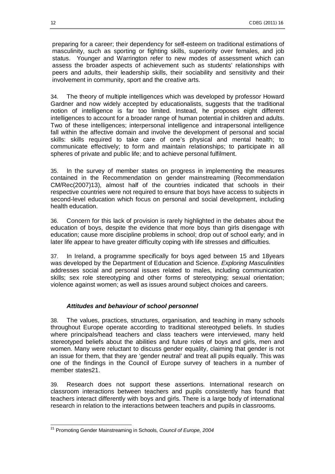preparing for a career; their dependency for self-esteem on traditional estimations of masculinity, such as sporting or fighting skills, superiority over females, and job status. Younger and Warrington refer to new modes of assessment which can assess the broader aspects of achievement such as students' relationships with peers and adults, their leadership skills, their sociability and sensitivity and their involvement in community, sport and the creative arts.

34. The theory of multiple intelligences which was developed by professor Howard Gardner and now widely accepted by educationalists, suggests that the traditional notion of intelligence is far too limited. Instead, he proposes eight different intelligences to account for a broader range of human potential in children and adults. Two of these intelligences; interpersonal intelligence and intrapersonal intelligence fall within the affective domain and involve the development of personal and social skills: skills required to take care of one's physical and mental health; to communicate effectively; to form and maintain relationships; to participate in all spheres of private and public life; and to achieve personal fulfilment.

35. In the survey of member states on progress in implementing the measures contained in the Recommendation on gender mainstreaming (Recommendation CM/Rec(2007)13), almost half of the countries indicated that schools in their respective countries were not required to ensure that boys have access to subjects in second-level education which focus on personal and social development, including health education.

36. Concern for this lack of provision is rarely highlighted in the debates about the education of boys, despite the evidence that more boys than girls disengage with education; cause more discipline problems in school; drop out of school early; and in later life appear to have greater difficulty coping with life stresses and difficulties.

37. In Ireland, a programme specifically for boys aged between 15 and 18years was developed by the Department of Education and Science. *Exploring Masculinities* addresses social and personal issues related to males, including communication skills; sex role stereotyping and other forms of stereotyping; sexual orientation; violence against women; as well as issues around subject choices and careers.

## *Attitudes and behaviour of school personnel*

38. The values, practices, structures, organisation, and teaching in many schools throughout Europe operate according to traditional stereotyped beliefs. In studies where principals/head teachers and class teachers were interviewed, many held stereotyped beliefs about the abilities and future roles of boys and girls, men and women. Many were reluctant to discuss gender equality, claiming that gender is not an issue for them, that they are 'gender neutral' and treat all pupils equally. This was one of the findings in the Council of Europe survey of teachers in a number of member states[21](#page-11-0).

39. Research does not support these assertions. International research on classroom interactions between teachers and pupils consistently has found that teachers interact differently with boys and girls. There is a large body of international research in relation to the interactions between teachers and pupils in classrooms.

<span id="page-11-0"></span><sup>1</sup> <sup>21</sup> Promoting Gender Mainstreaming in Schools*, Council of Europe, 2004*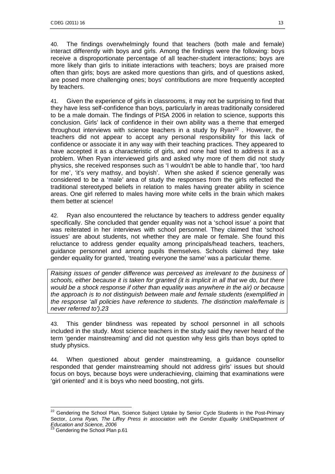40. The findings overwhelmingly found that teachers (both male and female) interact differently with boys and girls. Among the findings were the following: boys receive a disproportionate percentage of all teacher-student interactions; boys are more likely than girls to initiate interactions with teachers; boys are praised more often than girls; boys are asked more questions than girls, and of questions asked, are posed more challenging ones; boys' contributions are more frequently accepted by teachers.

41. Given the experience of girls in classrooms, it may not be surprising to find that they have less self-confidence than boys, particularly in areas traditionally considered to be a male domain. The findings of PISA 2006 in relation to science, supports this conclusion. Girls' lack of confidence in their own ability was a theme that emerged throughout interviews with science teachers in a study by  $Ryan^{22}$  $Ryan^{22}$  $Ryan^{22}$ . However, the teachers did not appear to accept any personal responsibility for this lack of confidence or associate it in any way with their teaching practices. They appeared to have accepted it as a characteristic of girls, and none had tried to address it as a problem. When Ryan interviewed girls and asked why more of them did not study physics, she received responses such as 'I wouldn't be able to handle that', 'too hard for me', 'it's very mathsy, and boyish'. When she asked if science generally was considered to be a 'male' area of study the responses from the girls reflected the traditional stereotyped beliefs in relation to males having greater ability in science areas. One girl referred to males having more white cells in the brain which makes them better at science!

42. Ryan also encountered the reluctance by teachers to address gender equality specifically. She concluded that gender equality was not a 'school issue' a point that was reiterated in her interviews with school personnel. They claimed that 'school issues' are about students, not whether they are male or female. She found this reluctance to address gender equality among principals/head teachers, teachers, guidance personnel and among pupils themselves. Schools claimed they take gender equality for granted, 'treating everyone the same' was a particular theme.

*Raising issues of gender difference was perceived as irrelevant to the business of schools, either because it is taken for granted (it is implicit in all that we do, but there would be a shock response if other than equality was anywhere in the air) or because the approach is to not distinguish between male and female students (exemplified in the response 'all policies have reference to students. The distinction male/female is never referred to').[23](#page-12-1)* 

43. This gender blindness was repeated by school personnel in all schools included in the study. Most science teachers in the study said they never heard of the term 'gender mainstreaming' and did not question why less girls than boys opted to study physics.

44. When questioned about gender mainstreaming, a guidance counsellor responded that gender mainstreaming should not address girls' issues but should focus on boys, because boys were underachieving, claiming that examinations were 'girl oriented' and it is boys who need boosting, not girls.

<span id="page-12-1"></span><span id="page-12-0"></span> $\overline{a}$  $22$  Gendering the School Plan, Science Subject Uptake by Senior Cycle Students in the Post-Primary Sector, *Lorna Ryan, The Liffey Press in association with the Gender Equality Unit/Department of Education and Science, 2006*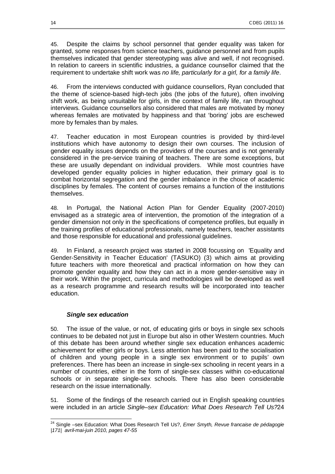45. Despite the claims by school personnel that gender equality was taken for granted, some responses from science teachers, guidance personnel and from pupils themselves indicated that gender stereotyping was alive and well, if not recognised. In relation to careers in scientific industries, a guidance counsellor claimed that the requirement to undertake shift work was *no life, particularly for a girl, for a family life*.

46. From the interviews conducted with guidance counsellors, Ryan concluded that the theme of science-based high-tech jobs (the jobs of the future), often involving shift work, as being unsuitable for girls, in the context of family life, ran throughout interviews. Guidance counsellors also considered that males are motivated by money whereas females are motivated by happiness and that 'boring' jobs are eschewed more by females than by males.

47. Teacher education in most European countries is provided by third-level institutions which have autonomy to design their own courses. The inclusion of gender equality issues depends on the providers of the courses and is not generally considered in the pre-service training of teachers. There are some exceptions, but these are usually dependant on individual providers. While most countries have developed gender equality policies in higher education, their primary goal is to combat horizontal segregation and the gender imbalance in the choice of academic disciplines by females. The content of courses remains a function of the institutions themselves.

48. In Portugal, the National Action Plan for Gender Equality (2007-2010) envisaged as a strategic area of intervention, the promotion of the integration of a gender dimension not only in the specifications of competence profiles, but equally in the training profiles of educational professionals, namely teachers, teacher assistants and those responsible for educational and professional guidelines.

49. In Finland, a research project was started in 2008 focussing on 'Equality and Gender-Sensitivity in Teacher Education' (TASUKO) (3) which aims at providing future teachers with more theoretical and practical information on how they can promote gender equality and how they can act in a more gender-sensitive way in their work. Within the project, curricula and methodologies will be developed as well as a research programme and research results will be incorporated into teacher education.

#### *Single sex education*

50. The issue of the value, or not, of educating girls or boys in single sex schools continues to be debated not just in Europe but also in other Western countries. Much of this debate has been around whether single sex education enhances academic achievement for either girls or boys. Less attention has been paid to the socialisation of children and young people in a single sex environment or to pupils' own preferences. There has been an increase in single-sex schooling in recent years in a number of countries, either in the form of single-sex classes within co-educational schools or in separate single-sex schools. There has also been considerable research on the issue internationally.

51. Some of the findings of the research carried out in English speaking countries were included in an article *Single–sex Education: What Does Research Tell Us?*[24](#page-13-0) 

<span id="page-13-0"></span> $\overline{a}$ <sup>24</sup> Single –sex Education: What Does Research Tell Us?, *Emer Smyth, Revue francaise de pédagogie |171| avril-mai-juin 2010, pages 47-55*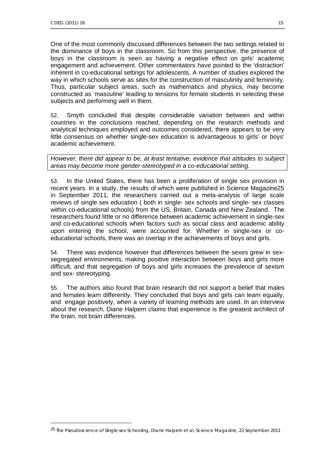1

One of the most commonly discussed differences between the two settings related to the dominance of boys in the classroom. So from this perspective, the presence of boys in the classroom is seen as having a negative effect on girls' academic engagement and achievement. Other commentators have pointed to the 'distraction' inherent in co-educational settings for adolescents. A number of studies explored the way in which schools serve as sites for the construction of masculinity and femininity. Thus, particular subject areas, such as mathematics and physics, may become constructed as 'masculine' leading to tensions for female students in selecting these subjects and performing well in them.

52. Smyth concluded that despite considerable variation between and within countries in the conclusions reached, depending on the research methods and analytical techniques employed and outcomes considered, there appears to be very little consensus on whether single-sex education is advantageous to girls' or boys' academic achievement.

*However, there did appear to be, at least tentative, evidence that attitudes to subject areas may become more gender-stereotyped in a co-educational setting.* 

53. In the United States, there has been a proliferation of single sex provision in recent years. In a study, the results of which were published in Science Magazine[25](#page-14-0)  in September 2011, the researchers carried out a meta-analysis of large scale reviews of single sex education ( both in single- sex schools and single- sex classes within co-educational schools) from the US, Britain, Canada and New Zealand. The researchers found little or no difference between academic achievement in single-sex and co-educational schools when factors such as social class and academic ability upon entering the school, were accounted for. Whether in single-sex or coeducational schools, there was an overlap in the achievements of boys and girls.

54. There was evidence however that differences between the sexes grew in sexsegregated environments, making positive interaction between boys and girls more difficult, and that segregation of boys and girls increases the prevalence of sexism and sex- stereotyping.

55. The authors also found that brain research did not support a belief that males and females learn differently. They concluded that boys and girls can learn equally, and engage positively, when a variety of learning methods are used. In an interview about the research, Diane Halpern claims that experience is the greatest architect of the brain, not brain differences.

<span id="page-14-0"></span><sup>25</sup> The Pseudoscience of Single-sex Schooling, *Diane Halpern et al, Science Magazine, 23 September 2011*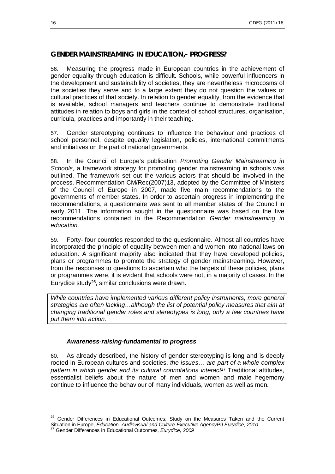## **GENDER MAINSTREAMING IN EDUCATION,- PROGRESS?**

56. Measuring the progress made in European countries in the achievement of gender equality through education is difficult. Schools, while powerful influencers in the development and sustainability of societies, they are nevertheless microcosms of the societies they serve and to a large extent they do not question the values or cultural practices of that society. In relation to gender equality, from the evidence that is available, school managers and teachers continue to demonstrate traditional attitudes in relation to boys and girls in the context of school structures, organisation, curricula, practices and importantly in their teaching.

57. Gender stereotyping continues to influence the behaviour and practices of school personnel, despite equality legislation, policies, international commitments and initiatives on the part of national governments.

58. In the Council of Europe's publication *Promoting Gender Mainstreaming in Schools,* a framework strategy for promoting gender mainstreaming in schools was outlined. The framework set out the various actors that should be involved in the process. Recommendation CM/Rec(2007)13, adopted by the Committee of Ministers of the Council of Europe in 2007, made five main recommendations to the governments of member states. In order to ascertain progress in implementing the recommendations, a questionnaire was sent to all member states of the Council in early 2011. The information sought in the questionnaire was based on the five recommendations contained in the Recommendation *Gender mainstreaming in education.*

59. Forty- four countries responded to the questionnaire. Almost all countries have incorporated the principle of equality between men and women into national laws on education. A significant majority also indicated that they have developed policies, plans or programmes to promote the strategy of gender mainstreaming. However, from the responses to questions to ascertain who the targets of these policies, plans or programmes were, it is evident that schools were not, in a majority of cases. In the Eurydice study[26](#page-15-0), similar conclusions were drawn.

*While countries have implemented various different policy instruments, more general strategies are often lacking…although the list of potential policy measures that aim at changing traditional gender roles and stereotypes is long, only a few countries have put them into action.* 

#### *Awareness-raising-fundamental to progress*

60. As already described, the history of gender stereotyping is long and is deeply rooted in European cultures and societies, *the issues… are part of a whole complex pattern in which gender and its cultural connotations interact[27](#page-15-1)* Traditional attitudes, essentialist beliefs about the nature of men and women and male hegemony continue to influence the behaviour of many individuals, women as well as men.

1

<span id="page-15-1"></span><span id="page-15-0"></span> $26$  Gender Differences in Educational Outcomes: Study on the Measures Taken and the Current Situation in Europe, *Education, Audiovisual and Culture Executive AgencyP9 Eurydice, 2010*  <sup>27</sup> Gender Differences in Educational Outcomes, *Eurydice, 2009*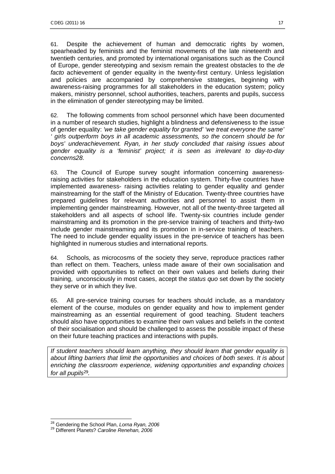61. Despite the achievement of human and democratic rights by women, spearheaded by feminists and the feminist movements of the late nineteenth and twentieth centuries, and promoted by international organisations such as the Council of Europe, gender stereotyping and sexism remain the greatest obstacles to the *de facto* achievement of gender equality in the twenty-first century. Unless legislation and policies are accompanied by comprehensive strategies, beginning with awareness-raising programmes for all stakeholders in the education system; policy makers, ministry personnel, school authorities, teachers, parents and pupils, success in the elimination of gender stereotyping may be limited.

62. The following comments from school personnel which have been documented in a number of research studies, highlight a blindness and defensiveness to the issue of gender equality: *'we take gender equality for granted' 'we treat everyone the same' ' girls outperform boys in all academic assessments, so the concern should be for boys' underachievement. Ryan, in her study concluded that raising issues about gender equality is a 'feminist' project; it is seen as irrelevant to day-to-day concern[s28](#page-16-0).* 

63. The Council of Europe survey sought information concerning awarenessraising activities for stakeholders in the education system. Thirty-five countries have implemented awareness- raising activities relating to gender equality and gender mainstreaming for the staff of the Ministry of Education. Twenty-three countries have prepared guidelines for relevant authorities and personnel to assist them in implementing gender mainstreaming. However, not all of the twenty-three targeted all stakeholders and all aspects of school life. Twenty-six countries include gender mainstraming and its promotion in the pre-service training of teachers and thirty-two include gender mainstreaming and its promotion in in-service training of teachers. The need to include gender equality issues in the pre-service of teachers has been highlighted in numerous studies and international reports.

64. Schools, as microcosms of the society they serve, reproduce practices rather than reflect on them. Teachers, unless made aware of their own socialisation and provided with opportunities to reflect on their own values and beliefs during their training, unconsciously in most cases, accept the *status quo* set down by the society they serve or in which they live.

65. All pre-service training courses for teachers should include, as a mandatory element of the course, modules on gender equality and how to implement gender mainstreaming as an essential requirement of good teaching. Student teachers should also have opportunities to examine their own values and beliefs in the context of their socialisation and should be challenged to assess the possible impact of these on their future teaching practices and interactions with pupils.

*If student teachers should learn anything, they should learn that gender equality is about lifting barriers that limit the opportunities and choices of both sexes. It is about enriching the classroom experience, widening opportunities and expanding choices for all pupils[29](#page-16-1) .* 

 $\overline{a}$ 

<span id="page-16-0"></span><sup>28</sup> Gendering the School Plan, *Lorna Ryan, 2006* 

<span id="page-16-1"></span><sup>29</sup> Different Planets? *Caroline Renehan, 2006*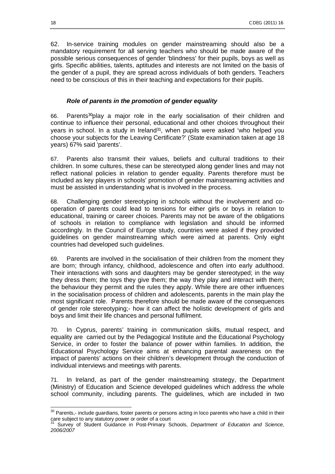62. In-service training modules on gender mainstreaming should also be a mandatory requirement for all serving teachers who should be made aware of the possible serious consequences of gender 'blindness' for their pupils, boys as well as girls. Specific abilities, talents, aptitudes and interests are not limited on the basis of the gender of a pupil, they are spread across individuals of both genders. Teachers need to be conscious of this in their teaching and expectations for their pupils.

#### *Role of parents in the promotion of gender equality*

66. Parents[30](#page-17-0)play a major role in the early socialisation of their children and continue to influence their personal, educational and other choices throughout their years in school. In a study in Ireland<sup>[31](#page-17-1)</sup>, when pupils were asked 'who helped you choose your subjects for the Leaving Certificate?' (State examination taken at age 18 years) 67% said 'parents'.

67. Parents also transmit their values, beliefs and cultural traditions to their children. In some cultures, these can be stereotyped along gender lines and may not reflect national policies in relation to gender equality. Parents therefore must be included as key players in schools' promotion of gender mainstreaming activities and must be assisted in understanding what is involved in the process.

68. Challenging gender stereotyping in schools without the involvement and cooperation of parents could lead to tensions for either girls or boys in relation to educational, training or career choices. Parents may not be aware of the obligations of schools in relation to compliance with legislation and should be informed accordingly. In the Council of Europe study, countries were asked if they provided guidelines on gender mainstreaming which were aimed at parents. Only eight countries had developed such guidelines.

69. Parents are involved in the socialisation of their children from the moment they are born; through infancy, childhood, adolescence and often into early adulthood. Their interactions with sons and daughters may be gender stereotyped; in the way they dress them; the toys they give them; the way they play and interact with them; the behaviour they permit and the rules they apply. While there are other influences in the socialisation process of children and adolescents, parents in the main play the most significant role. Parents therefore should be made aware of the consequences of gender role stereotyping;- how it can affect the holistic development of girls and boys and limit their life chances and personal fulfilment.

70. In Cyprus, parents' training in communication skills, mutual respect, and equality are carried out by the Pedagogical Institute and the Educational Psychology Service, in order to foster the balance of power within families. In addition, the Educational Psychology Service aims at enhancing parental awareness on the impact of parents' actions on their children's development through the conduction of individual interviews and meetings with parents.

71. In Ireland, as part of the gender mainstreaming strategy, the Department (Ministry) of Education and Science developed guidelines which address the whole school community, including parents. The guidelines, which are included in two

<span id="page-17-0"></span>  $30$  Parents,- include guardians, foster parents or persons acting in loco parentis who have a child in their care subject to any statutory power or order of a court

<span id="page-17-1"></span><sup>31</sup> Survey of Student Guidance in Post-Primary Schools, *Department of Education and Science, 2006/2007*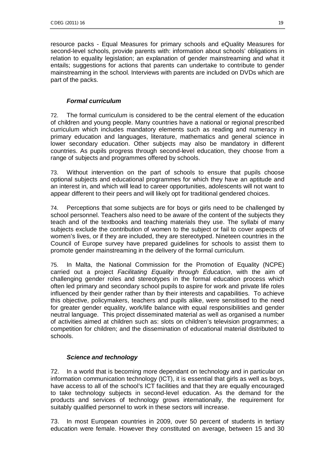resource packs - Equal Measures for primary schools and eQuality Measures for second-level schools, provide parents with: information about schools' obligations in relation to equality legislation; an explanation of gender mainstreaming and what it entails; suggestions for actions that parents can undertake to contribute to gender mainstreaming in the school. Interviews with parents are included on DVDs which are part of the packs.

## *Formal curriculum*

72. The formal curriculum is considered to be the central element of the education of children and young people. Many countries have a national or regional prescribed curriculum which includes mandatory elements such as reading and numeracy in primary education and languages, literature, mathematics and general science in lower secondary education. Other subjects may also be mandatory in different countries. As pupils progress through second-level education, they choose from a range of subjects and programmes offered by schools.

73. Without intervention on the part of schools to ensure that pupils choose optional subjects and educational programmes for which they have an aptitude and an interest in, and which will lead to career opportunities, adolescents will not want to appear different to their peers and will likely opt for traditional gendered choices.

74. Perceptions that some subjects are for boys or girls need to be challenged by school personnel. Teachers also need to be aware of the content of the subjects they teach and of the textbooks and teaching materials they use. The syllabi of many subjects exclude the contribution of women to the subject or fail to cover aspects of women's lives, or if they are included, they are stereotyped. Nineteen countries in the Council of Europe survey have prepared guidelines for schools to assist them to promote gender mainstreaming in the delivery of the formal curriculum.

75. In Malta, the National Commission for the Promotion of Equality (NCPE) carried out a project *Facilitating Equality through Education*, with the aim of challenging gender roles and stereotypes in the formal education process which often led primary and secondary school pupils to aspire for work and private life roles influenced by their gender rather than by their interests and capabilities. To achieve this objective, policymakers, teachers and pupils alike, were sensitised to the need for greater gender equality, work/life balance with equal responsibilities and gender neutral language. This project disseminated material as well as organised a number of activities aimed at children such as: slots on children's television programmes; a competition for children; and the dissemination of educational material distributed to schools.

## *Science and technology*

72. In a world that is becoming more dependant on technology and in particular on information communication technology (ICT), it is essential that girls as well as boys, have access to all of the school's ICT facilities and that they are equally encouraged to take technology subjects in second-level education. As the demand for the products and services of technology grows internationally, the requirement for suitably qualified personnel to work in these sectors will increase.

73. In most European countries in 2009, over 50 percent of students in tertiary education were female. However they constituted on average, between 15 and 30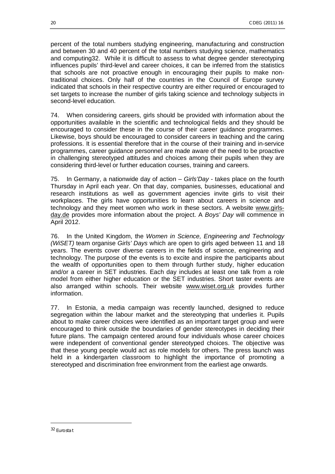percent of the total numbers studying engineering, manufacturing and construction and between 30 and 40 percent of the total numbers studying science, mathematics and computin[g32](#page-19-0). While it is difficult to assess to what degree gender stereotyping influences pupils' third-level and career choices, it can be inferred from the statistics that schools are not proactive enough in encouraging their pupils to make nontraditional choices. Only half of the countries in the Council of Europe survey indicated that schools in their respective country are either required or encouraged to set targets to increase the number of girls taking science and technology subjects in second-level education.

74. When considering careers, girls should be provided with information about the opportunities available in the scientific and technological fields and they should be encouraged to consider these in the course of their career guidance programmes. Likewise, boys should be encouraged to consider careers in teaching and the caring professions. It is essential therefore that in the course of their training and in-service programmes, career guidance personnel are made aware of the need to be proactive in challenging stereotyped attitudes and choices among their pupils when they are considering third-level or further education courses, training and careers.

75. In Germany, a nationwide day of action – *Girls'Day* - takes place on the fourth Thursday in April each year. On that day, companies, businesses, educational and research institutions as well as government agencies invite girls to visit their workplaces. The girls have opportunities to learn about careers in science and technology and they meet women who work in these sectors. A website [www.girls](http://www.girls-day.de/)[day.de](http://www.girls-day.de/) provides more information about the project. A *Boys' Day* will commence in April 2012.

76. In the United Kingdom, the *Women in Science, Engineering and Technology (WiSET)* team organise *Girls' Days* which are open to girls aged between 11 and 18 years. The events cover diverse careers in the fields of science, engineering and technology. The purpose of the events is to excite and inspire the participants about the wealth of opportunities open to them through further study, higher education and/or a career in SET industries. Each day includes at least one talk from a role model from either higher education or the SET industries. Short taster events are also arranged within schools. Their website [www.wiset.org.uk](http://www.wiset.org.uk/) provides further information.

77. In Estonia, a media campaign was recently launched, designed to reduce segregation within the labour market and the stereotyping that underlies it. Pupils about to make career choices were identified as an important target group and were encouraged to think outside the boundaries of gender stereotypes in deciding their future plans. The campaign centered around four individuals whose career choices were independent of conventional gender stereotyped choices. The objective was that these young people would act as role models for others. The press launch was held in a kindergarten classroom to highlight the importance of promoting a stereotyped and discrimination free environment from the earliest age onwards.

<span id="page-19-0"></span><sup>32</sup> Eurostat

1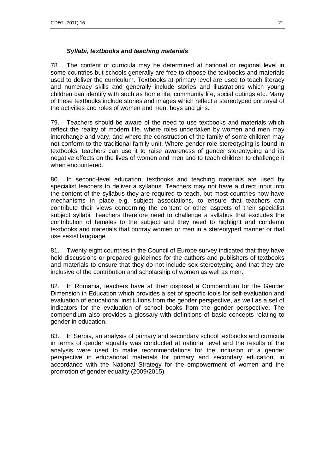#### *Syllabi, textbooks and teaching materials*

78. The content of curricula may be determined at national or regional level in some countries but schools generally are free to choose the textbooks and materials used to deliver the curriculum. Textbooks at primary level are used to teach literacy and numeracy skills and generally include stories and illustrations which young children can identify with such as home life, community life, social outings etc. Many of these textbooks include stories and images which reflect a stereotyped portrayal of the activities and roles of women and men, boys and girls.

79. Teachers should be aware of the need to use textbooks and materials which reflect the reality of modern life, where roles undertaken by women and men may interchange and vary, and where the construction of the family of some children may not conform to the traditional family unit. Where gender role stereotyping is found in textbooks, teachers can use it to raise awareness of gender stereotyping and its negative effects on the lives of women and men and to teach children to challenge it when encountered.

80. In second-level education, textbooks and teaching materials are used by specialist teachers to deliver a syllabus. Teachers may not have a direct input into the content of the syllabus they are required to teach, but most countries now have mechanisms in place e.g. subject associations, to ensure that teachers can contribute their views concerning the content or other aspects of their specialist subject syllabi. Teachers therefore need to challenge a syllabus that excludes the contribution of females to the subject and they need to highlight and condemn textbooks and materials that portray women or men in a stereotyped manner or that use sexist language.

81. Twenty-eight countries in the Council of Europe survey indicated that they have held discussions or prepared guidelines for the authors and publishers of textbooks and materials to ensure that they do not include sex stereotyping and that they are inclusive of the contribution and scholarship of women as well as men.

82. In Romania, teachers have at their disposal a Compendium for the Gender Dimension in Education which provides a set of specific tools for self-evaluation and evaluation of educational institutions from the gender perspective, as well as a set of indicators for the evaluation of school books from the gender perspective. The compendium also provides a glossary with definitions of basic concepts relating to gender in education.

83. In Serbia, an analysis of primary and secondary school textbooks and curricula in terms of gender equality was conducted at national level and the results of the analysis were used to make recommendations for the inclusion of a gender perspective in educational materials for primary and secondary education, in accordance with the National Strategy for the empowerment of women and the promotion of gender equality (2009/2015).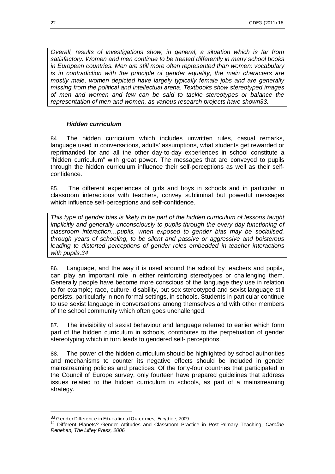*Overall, results of investigations show, in general, a situation which is far from satisfactory. Women and men continue to be treated differently in many school books in European countries. Men are still more often represented than women; vocabulary is in contradiction with the principle of gender equality, the main characters are mostly male, women depicted have largely typically female jobs and are generally missing from the political and intellectual arena. Textbooks show stereotyped images of men and women and few can be said to tackle stereotypes or balance the representation of men and women, as various research projects have shown[33.](#page-21-0)* 

#### *Hidden curriculum*

84. The hidden curriculum which includes unwritten rules, casual remarks, language used in conversations, adults' assumptions, what students get rewarded or reprimanded for and all the other day-to-day experiences in school constitute a "hidden curriculum" with great power. The messages that are conveyed to pupils through the hidden curriculum influence their self-perceptions as well as their selfconfidence.

85. The different experiences of girls and boys in schools and in particular in classroom interactions with teachers, convey subliminal but powerful messages which influence self-perceptions and self-confidence.

*This type of gender bias is likely to be part of the hidden curriculum of lessons taught implicitly and generally unconsciously to pupils through the every day functioning of classroom interaction…pupils, when exposed to gender bias may be socialised, through years of schooling, to be silent and passive or aggressive and boisterous leading to distorted perceptions of gender roles embedded in teacher interactions with pupils.[34](#page-21-1)* 

86. Language, and the way it is used around the school by teachers and pupils, can play an important role in either reinforcing stereotypes or challenging them. Generally people have become more conscious of the language they use in relation to for example; race, culture, disability, but sex stereotyped and sexist language still persists, particularly in non-formal settings, in schools. Students in particular continue to use sexist language in conversations among themselves and with other members of the school community which often goes unchallenged.

87. The invisibility of sexist behaviour and language referred to earlier which form part of the hidden curriculum in schools, contributes to the perpetuation of gender stereotyping which in turn leads to gendered self- perceptions.

88. The power of the hidden curriculum should be highlighted by school authorities and mechanisms to counter its negative effects should be included in gender mainstreaming policies and practices. Of the forty-four countries that participated in the Council of Europe survey, only fourteen have prepared guidelines that address issues related to the hidden curriculum in schools, as part of a mainstreaming strategy.

1

<span id="page-21-0"></span><sup>33</sup> Gender Difference in Educational Outcomes, *Eurydice, 2009* 

<span id="page-21-1"></span><sup>34</sup> Different Planets? Gender Attitudes and Classroom Practice in Post-Primary Teaching, *Caroline Renehan, The Liffey Press, 2006*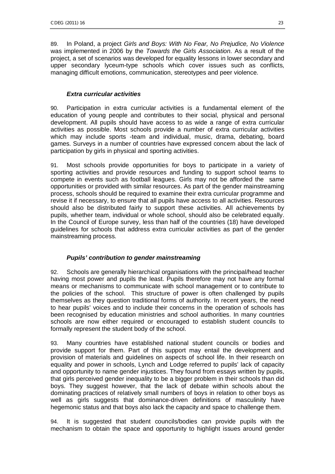89. In Poland, a project *Girls and Boys: With No Fear, No Prejudice, No Violence* was implemented in 2006 by the *Towards the Girls Association*. As a result of the project, a set of scenarios was developed for equality lessons in lower secondary and upper secondary lyceum-type schools which cover issues such as conflicts, managing difficult emotions, communication, stereotypes and peer violence.

#### *Extra curricular activities*

90. Participation in extra curricular activities is a fundamental element of the education of young people and contributes to their social, physical and personal development. All pupils should have access to as wide a range of extra curricular activities as possible. Most schools provide a number of extra curricular activities which may include sports -team and individual, music, drama, debating, board games. Surveys in a number of countries have expressed concern about the lack of participation by girls in physical and sporting activities.

91. Most schools provide opportunities for boys to participate in a variety of sporting activities and provide resources and funding to support school teams to compete in events such as football leagues. Girls may not be afforded the same opportunities or provided with similar resources. As part of the gender mainstreaming process, schools should be required to examine their extra curricular programme and revise it if necessary, to ensure that all pupils have access to all activities. Resources should also be distributed fairly to support these activities. All achievements by pupils, whether team, individual or whole school, should also be celebrated equally. In the Council of Europe survey, less than half of the countries (18) have developed guidelines for schools that address extra curricular activities as part of the gender mainstreaming process.

## *Pupils' contribution to gender mainstreaming*

92. Schools are generally hierarchical organisations with the principal/head teacher having most power and pupils the least. Pupils therefore may not have any formal means or mechanisms to communicate with school management or to contribute to the policies of the school. This structure of power is often challenged by pupils themselves as they question traditional forms of authority. In recent years, the need to hear pupils' voices and to include their concerns in the operation of schools has been recognised by education ministries and school authorities. In many countries schools are now either required or encouraged to establish student councils to formally represent the student body of the school.

93. Many countries have established national student councils or bodies and provide support for them. Part of this support may entail the development and provision of materials and guidelines on aspects of school life. In their research on equality and power in schools, Lynch and Lodge referred to pupils' lack of capacity and opportunity to name gender injustices. They found from essays written by pupils, that girls perceived gender inequality to be a bigger problem in their schools than did boys. They suggest however, that the lack of debate within schools about the dominating practices of relatively small numbers of boys in relation to other boys as well as girls suggests that dominance-driven definitions of masculinity have hegemonic status and that boys also lack the capacity and space to challenge them.

94. It is suggested that student councils/bodies can provide pupils with the mechanism to obtain the space and opportunity to highlight issues around gender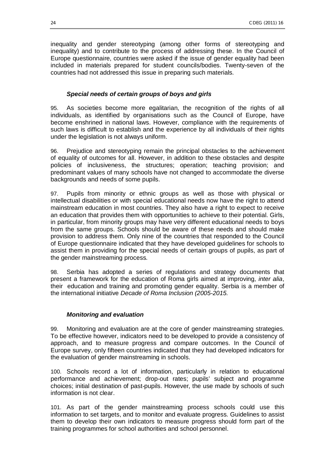inequality and gender stereotyping (among other forms of stereotyping and inequality) and to contribute to the process of addressing these. In the Council of Europe questionnaire, countries were asked if the issue of gender equality had been included in materials prepared for student councils/bodies. Twenty-seven of the countries had not addressed this issue in preparing such materials.

#### *Special needs of certain groups of boys and girls*

95. As societies become more egalitarian, the recognition of the rights of all individuals, as identified by organisations such as the Council of Europe, have become enshrined in national laws. However, compliance with the requirements of such laws is difficult to establish and the experience by all individuals of their rights under the legislation is not always uniform.

96. Prejudice and stereotyping remain the principal obstacles to the achievement of equality of outcomes for all. However, in addition to these obstacles and despite policies of inclusiveness, the structures; operation; teaching provision; and predominant values of many schools have not changed to accommodate the diverse backgrounds and needs of some pupils.

97. Pupils from minority or ethnic groups as well as those with physical or intellectual disabilities or with special educational needs now have the right to attend mainstream education in most countries. They also have a right to expect to receive an education that provides them with opportunities to achieve to their potential. Girls, in particular, from minority groups may have very different educational needs to boys from the same groups. Schools should be aware of these needs and should make provision to address them. Only nine of the countries that responded to the Council of Europe questionnaire indicated that they have developed guidelines for schools to assist them in providing for the special needs of certain groups of pupils, as part of the gender mainstreaming process.

98. Serbia has adopted a series of regulations and strategy documents that present a framework for the education of Roma girls aimed at improving, *inter alia*, their education and training and promoting gender equality. Serbia is a member of the international initiative *Decade of Roma Inclusion (2005-2015.*

#### *Monitoring and evaluation*

99. Monitoring and evaluation are at the core of gender mainstreaming strategies. To be effective however, indicators need to be developed to provide a consistency of approach, and to measure progress and compare outcomes. In the Council of Europe survey, only fifteen countries indicated that they had developed indicators for the evaluation of gender mainstreaming in schools.

100. Schools record a lot of information, particularly in relation to educational performance and achievement; drop-out rates; pupils' subject and programme choices; initial destination of past-pupils. However, the use made by schools of such information is not clear.

101. As part of the gender mainstreaming process schools could use this information to set targets, and to monitor and evaluate progress. Guidelines to assist them to develop their own indicators to measure progress should form part of the training programmes for school authorities and school personnel.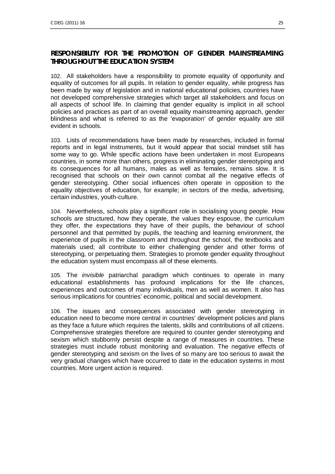## **RESPONSIBILITY FOR THE PROMOTION OF GENDER MAINSTREAMING THROUGHOUT THE EDUCATION SYSTEM**

102. All stakeholders have a responsibility to promote equality of opportunity and equality of outcomes for all pupils. In relation to gender equality, while progress has been made by way of legislation and in national educational policies, countries have not developed comprehensive strategies which target all stakeholders and focus on all aspects of school life. In claiming that gender equality is implicit in all school policies and practices as part of an overall equality mainstreaming approach, gender blindness and what is referred to as the 'evaporation' of gender equality are still evident in schools.

103. Lists of recommendations have been made by researches, included in formal reports and in legal instruments, but it would appear that social mindset still has some way to go. While specific actions have been undertaken in most Europeans countries, in some more than others, progress in eliminating gender stereotyping and its consequences for all humans, males as well as females, remains slow. It is recognised that schools on their own cannot combat all the negative effects of gender stereotyping. Other social influences often operate in opposition to the equality objectives of education, for example; in sectors of the media, advertising, certain industries, youth-culture.

104. Nevertheless, schools play a significant role in socialising young people. How schools are structured, how they operate, the values they espouse, the curriculum they offer, the expectations they have of their pupils, the behaviour of school personnel and that permitted by pupils, the teaching and learning environment, the experience of pupils in the classroom and throughout the school, the textbooks and materials used; all contribute to either challenging gender and other forms of stereotyping, or perpetuating them. Strategies to promote gender equality throughout the education system must encompass all of these elements.

105. The *invisible* patriarchal paradigm which continues to operate in many educational establishments has profound implications for the life chances, experiences and outcomes of many individuals, men as well as women. It also has serious implications for countries' economic, political and social development.

106. The issues and consequences associated with gender stereotyping in education need to become more central in countries' development policies and plans as they face a future which requires the talents, skills and contributions of all citizens. Comprehensive strategies therefore are required to counter gender stereotyping and sexism which stubbornly persist despite a range of measures in countries. These strategies must include robust monitoring and evaluation. The negative effects of gender stereotyping and sexism on the lives of so many are too serious to await the very gradual changes which have occurred to date in the education systems in most countries. More urgent action is required.